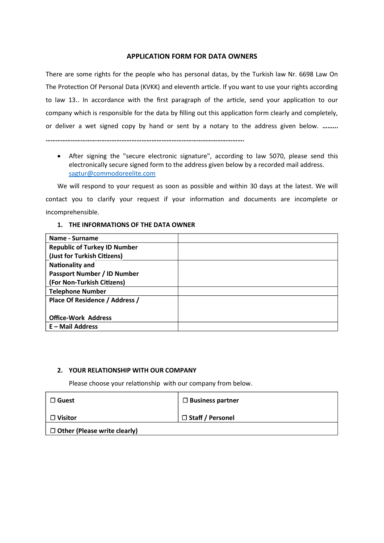## APPLICATION FORM FOR DATA OWNERS

There are some rights for the people who has personal datas, by the Turkish law Nr. 6698 Law On The Protection Of Personal Data (KVKK) and eleventh article. If you want to use your rights according to law 13.. In accordance with the first paragraph of the article, send your application to our company which is responsible for the data by filling out this application form clearly and completely, or deliver a wet signed copy by hand or sent by a notary to the address given below. .........

……………………………………………………………………………………………………….

• After signing the "secure electronic signature", according to law 5070, please send this electronically secure signed form to the address given below by a recorded mail address. sagtur@commodoreelite.com

We will respond to your request as soon as possible and within 30 days at the latest. We will contact you to clarify your request if your information and documents are incomplete or incomprehensible.

## 1. THE INFORMATIONS OF THE DATA OWNER

| Name - Surname                      |  |
|-------------------------------------|--|
| <b>Republic of Turkey ID Number</b> |  |
| (Just for Turkish Citizens)         |  |
| <b>Nationality and</b>              |  |
| <b>Passport Number / ID Number</b>  |  |
| (For Non-Turkish Citizens)          |  |
| <b>Telephone Number</b>             |  |
| Place Of Residence / Address /      |  |
|                                     |  |
| <b>Office-Work Address</b>          |  |
| $E$ – Mail Address                  |  |

## 2. YOUR RELATIONSHIP WITH OUR COMPANY

Please choose your relationship with our company from below.

| $\Box$ Guest                        | $\Box$ Business partner |
|-------------------------------------|-------------------------|
| $\Box$ Visitor                      | □ Staff / Personel      |
| $\Box$ Other (Please write clearly) |                         |